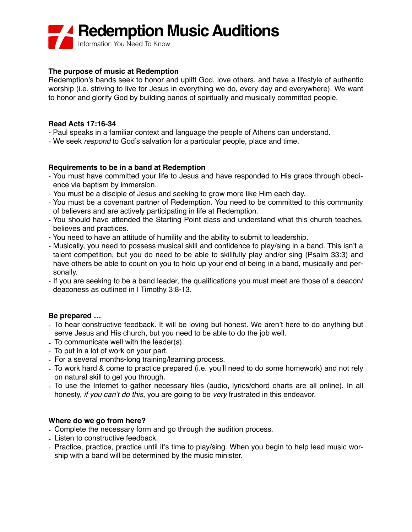# **Redemption Music Auditions**

Information You Need To Know

## **The purpose of music at Redemption**

Redemption's bands seek to honor and uplift God, love others, and have a lifestyle of authentic worship (i.e. striving to live for Jesus in everything we do, every day and everywhere). We want to honor and glorify God by building bands of spiritually and musically committed people.

#### **Read Acts 17:16-34**

- Paul speaks in a familiar context and language the people of Athens can understand.
- We seek *respond* to God's salvation for a particular people, place and time.

### **Requirements to be in a band at Redemption**

- You must have committed your life to Jesus and have responded to His grace through obedience via baptism by immersion.
- You must be a disciple of Jesus and seeking to grow more like Him each day.
- You must be a covenant partner of Redemption. You need to be committed to this community of believers and are actively participating in life at Redemption.
- You should have attended the Starting Point class and understand what this church teaches, believes and practices.
- You need to have an attitude of humility and the ability to submit to leadership.
- Musically, you need to possess musical skill and confidence to play/sing in a band. This isn't a talent competition, but you do need to be able to skillfully play and/or sing (Psalm 33:3) and have others be able to count on you to hold up your end of being in a band, musically and personally.
- If you are seeking to be a band leader, the qualifications you must meet are those of a deacon/ deaconess as outlined in I Timothy 3:8-13.

## **Be prepared …**

- To hear constructive feedback. It will be loving but honest. We aren't here to do anything but serve Jesus and His church, but you need to be able to do the job well.
- To communicate well with the leader(s).
- To put in a lot of work on your part.
- For a several months-long training/learning process.
- To work hard & come to practice prepared (i.e. you'll need to do some homework) and not rely on natural skill to get you through.
- To use the Internet to gather necessary files (audio, lyrics/chord charts are all online). In all honesty, *if you can't do this*, you are going to be *very* frustrated in this endeavor.

### **Where do we go from here?**

- Complete the necessary form and go through the audition process.
- Listen to constructive feedback.
- Practice, practice, practice until it's time to play/sing. When you begin to help lead music worship with a band will be determined by the music minister.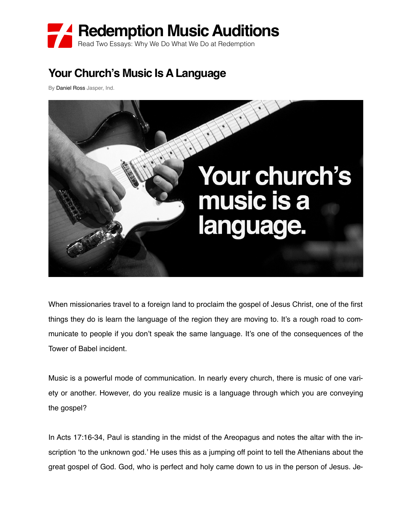

# **Your Church's Music Is A Language**

By Daniel Ross Jasper, Ind.



When missionaries travel to a foreign land to proclaim the gospel of Jesus Christ, one of the first things they do is learn the language of the region they are moving to. It's a rough road to communicate to people if you don't speak the same language. It's one of the consequences of the Tower of Babel incident.

Music is a powerful mode of communication. In nearly every church, there is music of one variety or another. However, do you realize music is a language through which you are conveying the gospel?

In Acts 17:16-34, Paul is standing in the midst of the Areopagus and notes the altar with the inscription 'to the unknown god.' He uses this as a jumping off point to tell the Athenians about the great gospel of God. God, who is perfect and holy came down to us in the person of Jesus. Je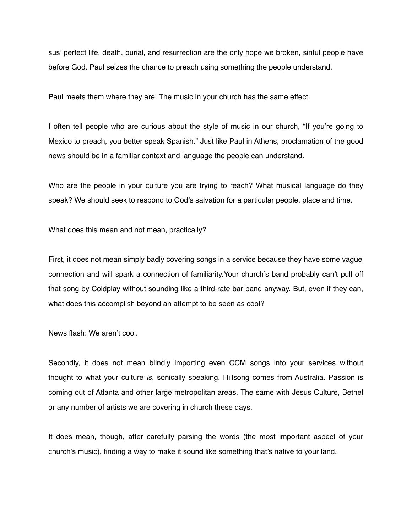sus' perfect life, death, burial, and resurrection are the only hope we broken, sinful people have before God. Paul seizes the chance to preach using something the people understand.

Paul meets them where they are. The music in your church has the same effect.

I often tell people who are curious about the style of music in our church, "If you're going to Mexico to preach, you better speak Spanish." Just like Paul in Athens, proclamation of the good news should be in a familiar context and language the people can understand.

Who are the people in your culture you are trying to reach? What musical language do they speak? We should seek to respond to God's salvation for a particular people, place and time.

What does this mean and not mean, practically?

First, it does not mean simply badly covering songs in a service because they have some vague connection and will spark a connection of familiarity.Your church's band probably can't pull off that song by Coldplay without sounding like a third-rate bar band anyway. But, even if they can, what does this accomplish beyond an attempt to be seen as cool?

News flash: We aren't cool.

Secondly, it does not mean blindly importing even CCM songs into your services without thought to what your culture *is*, sonically speaking. Hillsong comes from Australia. Passion is coming out of Atlanta and other large metropolitan areas. The same with Jesus Culture, Bethel or any number of artists we are covering in church these days.

It does mean, though, after carefully parsing the words (the most important aspect of your church's music), finding a way to make it sound like something that's native to your land.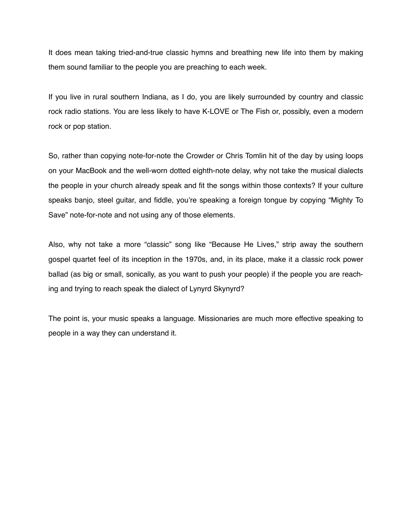It does mean taking tried-and-true classic hymns and breathing new life into them by making them sound familiar to the people you are preaching to each week.

If you live in rural southern Indiana, as I do, you are likely surrounded by country and classic rock radio stations. You are less likely to have K-LOVE or The Fish or, possibly, even a modern rock or pop station.

So, rather than copying note-for-note the Crowder or Chris Tomlin hit of the day by using loops on your MacBook and the well-worn dotted eighth-note delay, why not take the musical dialects the people in your church already speak and fit the songs within those contexts? If your culture speaks banjo, steel guitar, and fiddle, you're speaking a foreign tongue by copying "Mighty To Save" note-for-note and not using any of those elements.

Also, why not take a more "classic" song like "Because He Lives," strip away the southern gospel quartet feel of its inception in the 1970s, and, in its place, make it a classic rock power ballad (as big or small, sonically, as you want to push your people) if the people you are reaching and trying to reach speak the dialect of Lynyrd Skynyrd?

The point is, your music speaks a language. Missionaries are much more effective speaking to people in a way they can understand it.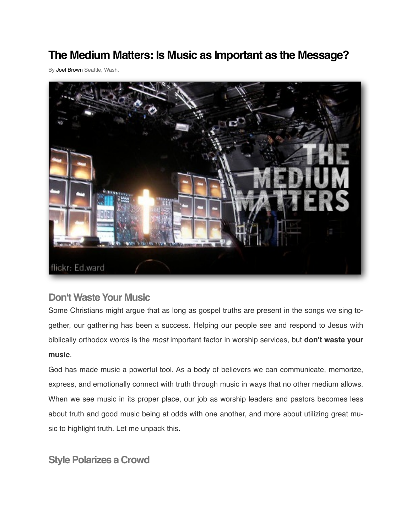# **The Medium Matters: Is Music as Important as the Message?**

By [Joel Brown](http://theresurgence.com/user/joel-brown) Seattle, Wash.



## **Don't Waste Your Music**

Some Christians might argue that as long as gospel truths are present in the songs we sing together, our gathering has been a success. Helping our people see and respond to Jesus with biblically orthodox words is the *most* important factor in worship services, but **don't waste your music**.

God has made music a powerful tool. As a body of believers we can communicate, memorize, express, and emotionally connect with truth through music in ways that no other medium allows. When we see music in its proper place, our job as worship leaders and pastors becomes less about truth and good music being at odds with one another, and more about utilizing great music to highlight truth. Let me unpack this.

**Style Polarizes a Crowd**